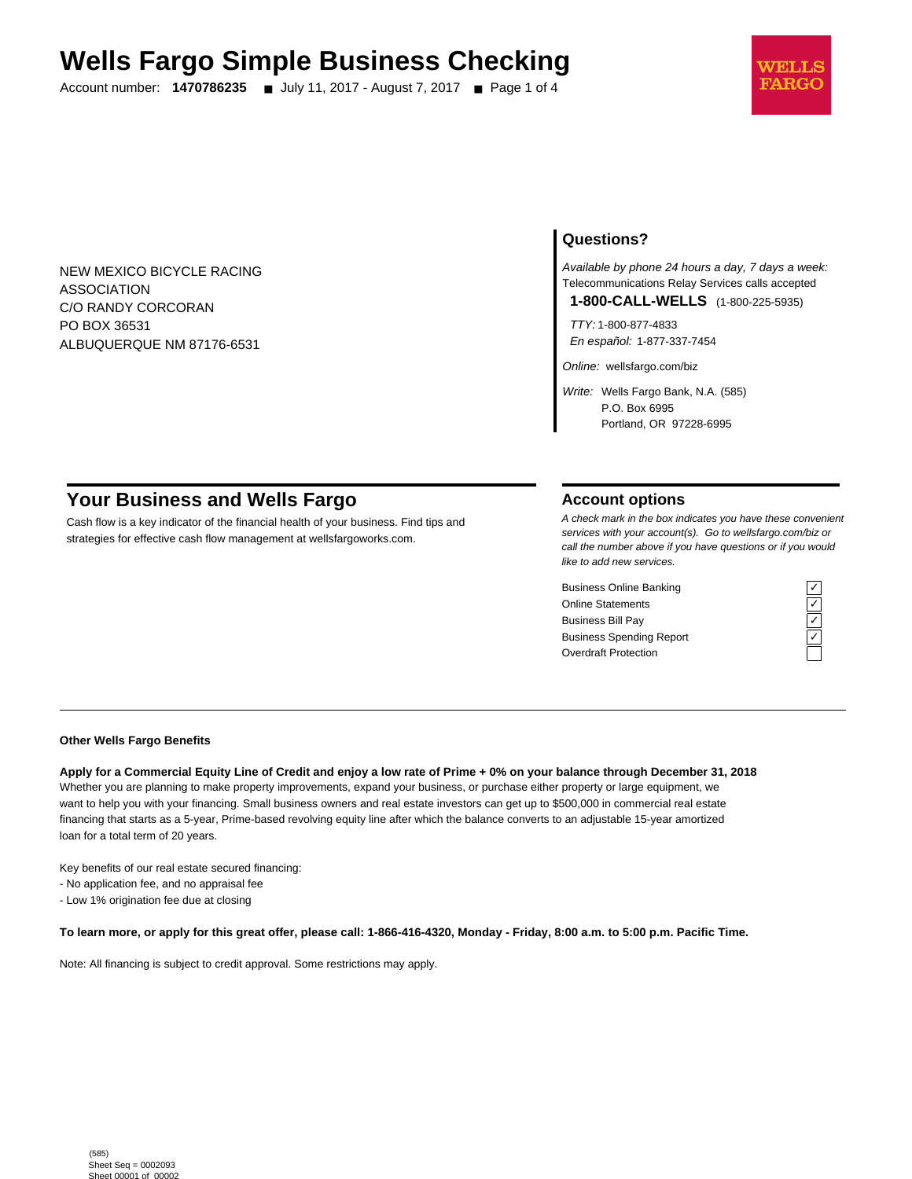# **Wells Fargo Simple Business Checking**

Account number: **1470786235** ■ July 11, 2017 - August 7, 2017 ■ Page 1 of 4



NEW MEXICO BICYCLE RACING ASSOCIATION C/O RANDY CORCORAN PO BOX 36531 ALBUQUERQUE NM 87176-6531

# **Questions?**

Available by phone 24 hours a day, 7 days a week: Telecommunications Relay Services calls accepted

**1-800-CALL-WELLS** (1-800-225-5935)

TTY: 1-800-877-4833 En español: 1-877-337-7454

Online: wellsfargo.com/biz

Write: Wells Fargo Bank, N.A. (585) P.O. Box 6995 Portland, OR 97228-6995

# **Your Business and Wells Fargo**

Cash flow is a key indicator of the financial health of your business. Find tips and strategies for effective cash flow management at wellsfargoworks.com.

# **Account options**

A check mark in the box indicates you have these convenient services with your account(s). Go to wellsfargo.com/biz or call the number above if you have questions or if you would like to add new services.

Business Online Banking<br>
Online Statements<br>
Business Bill Pay<br>
Business Spending Report<br>
Cygridder Protection<br>
Cygridder Protection Online Statements ✓ Business Bill Pay Business Spending Report Overdraft Protection



#### **Other Wells Fargo Benefits**

**Apply for a Commercial Equity Line of Credit and enjoy a low rate of Prime + 0% on your balance through December 31, 2018** Whether you are planning to make property improvements, expand your business, or purchase either property or large equipment, we want to help you with your financing. Small business owners and real estate investors can get up to \$500,000 in commercial real estate financing that starts as a 5-year, Prime-based revolving equity line after which the balance converts to an adjustable 15-year amortized loan for a total term of 20 years.

Key benefits of our real estate secured financing:

- No application fee, and no appraisal fee

- Low 1% origination fee due at closing

**To learn more, or apply for this great offer, please call: 1-866-416-4320, Monday - Friday, 8:00 a.m. to 5:00 p.m. Pacific Time.**

Note: All financing is subject to credit approval. Some restrictions may apply.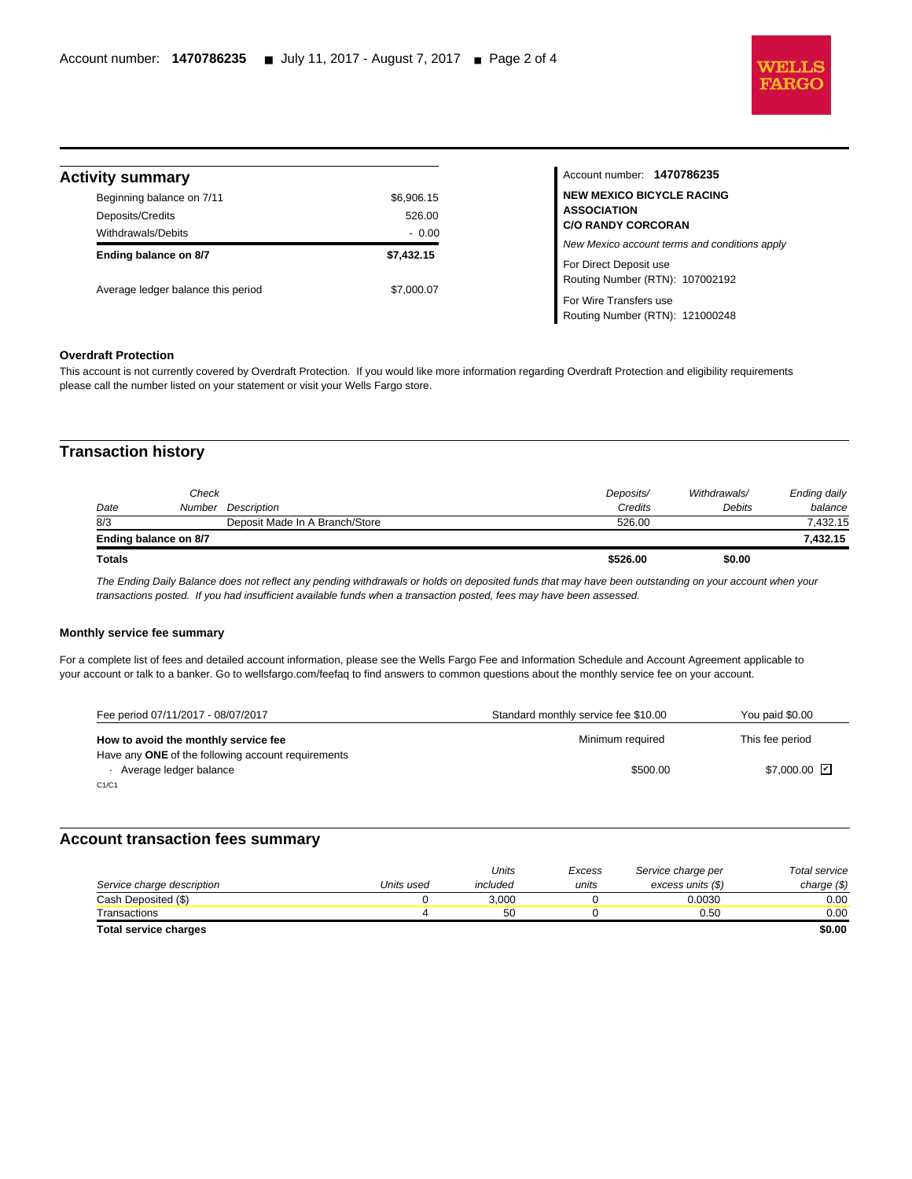

# **Activity summary**

l

| \$6,906.15 |
|------------|
|            |
| 526.00     |
| $-0.00$    |
| \$7.432.15 |
|            |
|            |

Account number: **1470786235 NEW MEXICO BICYCLE RACING ASSOCIATION C/O RANDY CORCORAN** New Mexico account terms and conditions apply For Direct Deposit use Routing Number (RTN): 107002192 For Wire Transfers use Routing Number (RTN): 121000248

## **Overdraft Protection**

This account is not currently covered by Overdraft Protection. If you would like more information regarding Overdraft Protection and eligibility requirements please call the number listed on your statement or visit your Wells Fargo store.

# **Transaction history**

| 7.432.15     |
|--------------|
| 7,432.15     |
| balance      |
| Ending daily |
| Debits       |

The Ending Daily Balance does not reflect any pending withdrawals or holds on deposited funds that may have been outstanding on your account when your transactions posted. If you had insufficient available funds when a transaction posted, fees may have been assessed.

#### **Monthly service fee summary**

For a complete list of fees and detailed account information, please see the Wells Fargo Fee and Information Schedule and Account Agreement applicable to your account or talk to a banker. Go to wellsfargo.com/feefaq to find answers to common questions about the monthly service fee on your account.

| Fee period 07/11/2017 - 08/07/2017                 | Standard monthly service fee \$10.00 | You paid \$0.00 |
|----------------------------------------------------|--------------------------------------|-----------------|
| How to avoid the monthly service fee               | Minimum required                     | This fee period |
| Have any ONE of the following account requirements |                                      |                 |
| Average ledger balance                             | \$500.00                             | \$7.000.00 D    |
| C1/C1                                              |                                      |                 |

### **Account transaction fees summary**

|                              |            | Units    | Excess | Service charge per | Total service |
|------------------------------|------------|----------|--------|--------------------|---------------|
| Service charge description   | Units used | included | units  | excess units (\$)  | charge $(\$)$ |
| Cash Deposited (\$)          |            | 3.000    |        | 0.0030             | 0.00          |
| Transactions                 |            | 50       |        | 0.50               | 0.00          |
| <b>Total service charges</b> |            |          |        |                    | \$0.00        |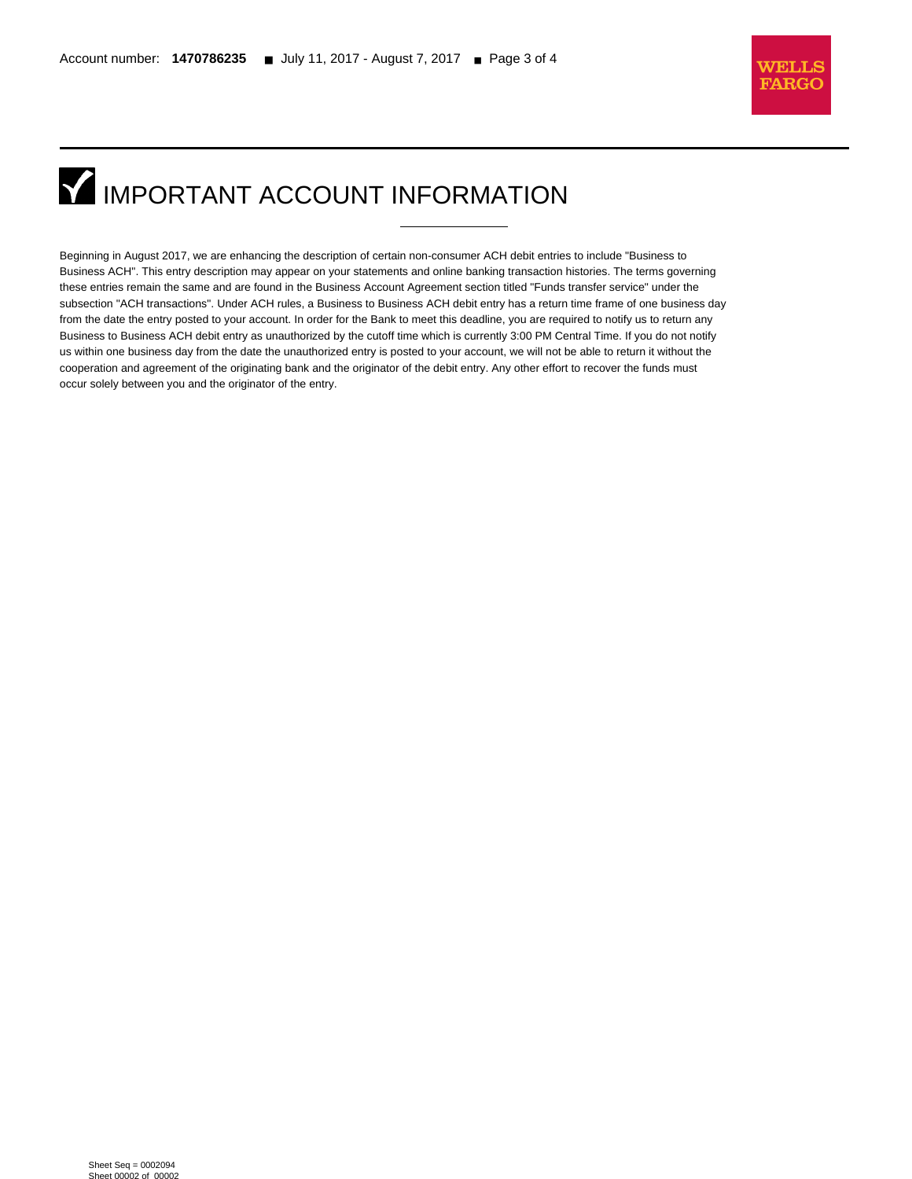l



# **IMPORTANT ACCOUNT INFORMATION**

Beginning in August 2017, we are enhancing the description of certain non-consumer ACH debit entries to include "Business to Business ACH". This entry description may appear on your statements and online banking transaction histories. The terms governing these entries remain the same and are found in the Business Account Agreement section titled "Funds transfer service" under the subsection "ACH transactions". Under ACH rules, a Business to Business ACH debit entry has a return time frame of one business day from the date the entry posted to your account. In order for the Bank to meet this deadline, you are required to notify us to return any Business to Business ACH debit entry as unauthorized by the cutoff time which is currently 3:00 PM Central Time. If you do not notify us within one business day from the date the unauthorized entry is posted to your account, we will not be able to return it without the cooperation and agreement of the originating bank and the originator of the debit entry. Any other effort to recover the funds must occur solely between you and the originator of the entry.